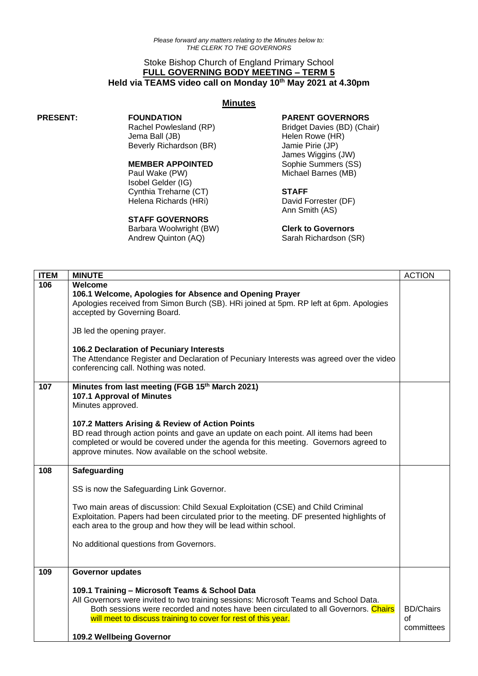## Stoke Bishop Church of England Primary School **FULL GOVERNING BODY MEETING – TERM 5 Held via TEAMS video call on Monday 10 th May 2021 at 4.30pm**

#### **Minutes**

#### **PRESENT: FOUNDATION**

Rachel Powlesland (RP) Jema Ball (JB) Beverly Richardson (BR)

## **MEMBER APPOINTED**

Paul Wake (PW) Isobel Gelder (IG) Cynthia Treharne (CT) Helena Richards (HRi)

#### **STAFF GOVERNORS**

Barbara Woolwright (BW) Andrew Quinton (AQ)

### **PARENT GOVERNORS**

Bridget Davies (BD) (Chair) Helen Rowe (HR) Jamie Pirie (JP) James Wiggins (JW) Sophie Summers (SS) Michael Barnes (MB)

# **STAFF**

David Forrester (DF) Ann Smith (AS)

#### **Clerk to Governors**

Sarah Richardson (SR)

| <b>ITEM</b> | <b>MINUTE</b>                                                                                                                                                                                                                                                                                                                                                                                               | <b>ACTION</b>                        |
|-------------|-------------------------------------------------------------------------------------------------------------------------------------------------------------------------------------------------------------------------------------------------------------------------------------------------------------------------------------------------------------------------------------------------------------|--------------------------------------|
| 106         | Welcome<br>106.1 Welcome, Apologies for Absence and Opening Prayer<br>Apologies received from Simon Burch (SB). HRi joined at 5pm. RP left at 6pm. Apologies<br>accepted by Governing Board.<br>JB led the opening prayer.<br>106.2 Declaration of Pecuniary Interests<br>The Attendance Register and Declaration of Pecuniary Interests was agreed over the video<br>conferencing call. Nothing was noted. |                                      |
| 107         | Minutes from last meeting (FGB 15th March 2021)<br>107.1 Approval of Minutes<br>Minutes approved.<br>107.2 Matters Arising & Review of Action Points<br>BD read through action points and gave an update on each point. All items had been<br>completed or would be covered under the agenda for this meeting. Governors agreed to<br>approve minutes. Now available on the school website.                 |                                      |
| 108         | Safeguarding<br>SS is now the Safeguarding Link Governor.<br>Two main areas of discussion: Child Sexual Exploitation (CSE) and Child Criminal<br>Exploitation. Papers had been circulated prior to the meeting. DF presented highlights of<br>each area to the group and how they will be lead within school.<br>No additional questions from Governors.                                                    |                                      |
| 109         | <b>Governor updates</b><br>109.1 Training - Microsoft Teams & School Data<br>All Governors were invited to two training sessions: Microsoft Teams and School Data.<br>Both sessions were recorded and notes have been circulated to all Governors. Chairs<br>will meet to discuss training to cover for rest of this year.<br>109.2 Wellbeing Governor                                                      | <b>BD/Chairs</b><br>Ωf<br>committees |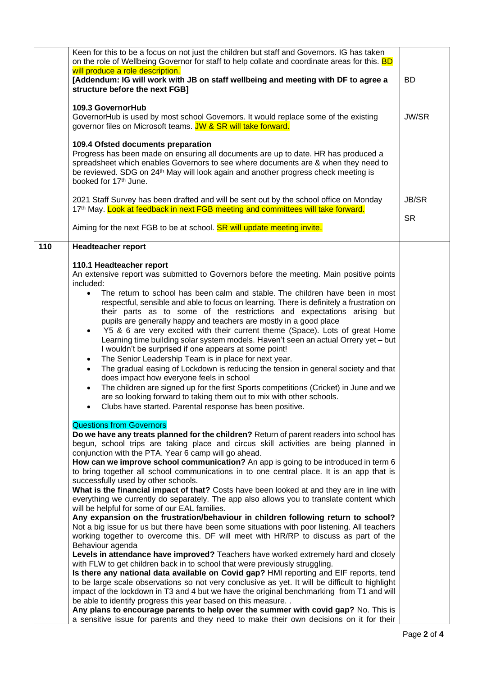|     | Keen for this to be a focus on not just the children but staff and Governors. IG has taken<br>on the role of Wellbeing Governor for staff to help collate and coordinate areas for this. <b>BD</b>                                                                                                                                                                                                                                                                                                                                                                                                                                                                                                                                                                                                                                                                                                                                                                                      |                           |
|-----|-----------------------------------------------------------------------------------------------------------------------------------------------------------------------------------------------------------------------------------------------------------------------------------------------------------------------------------------------------------------------------------------------------------------------------------------------------------------------------------------------------------------------------------------------------------------------------------------------------------------------------------------------------------------------------------------------------------------------------------------------------------------------------------------------------------------------------------------------------------------------------------------------------------------------------------------------------------------------------------------|---------------------------|
|     | will produce a role description.<br>[Addendum: IG will work with JB on staff wellbeing and meeting with DF to agree a                                                                                                                                                                                                                                                                                                                                                                                                                                                                                                                                                                                                                                                                                                                                                                                                                                                                   | BD                        |
|     | structure before the next FGB]<br>109.3 GovernorHub                                                                                                                                                                                                                                                                                                                                                                                                                                                                                                                                                                                                                                                                                                                                                                                                                                                                                                                                     |                           |
|     | GovernorHub is used by most school Governors. It would replace some of the existing<br>governor files on Microsoft teams. JW & SR will take forward.                                                                                                                                                                                                                                                                                                                                                                                                                                                                                                                                                                                                                                                                                                                                                                                                                                    | JW/SR                     |
|     | 109.4 Ofsted documents preparation<br>Progress has been made on ensuring all documents are up to date. HR has produced a<br>spreadsheet which enables Governors to see where documents are & when they need to<br>be reviewed. SDG on 24 <sup>th</sup> May will look again and another progress check meeting is<br>booked for 17 <sup>th</sup> June.                                                                                                                                                                                                                                                                                                                                                                                                                                                                                                                                                                                                                                   |                           |
|     | 2021 Staff Survey has been drafted and will be sent out by the school office on Monday<br>17 <sup>th</sup> May. Look at feedback in next FGB meeting and committees will take forward.                                                                                                                                                                                                                                                                                                                                                                                                                                                                                                                                                                                                                                                                                                                                                                                                  | <b>JB/SR</b><br><b>SR</b> |
|     | Aiming for the next FGB to be at school. <b>SR will update meeting invite.</b>                                                                                                                                                                                                                                                                                                                                                                                                                                                                                                                                                                                                                                                                                                                                                                                                                                                                                                          |                           |
| 110 | <b>Headteacher report</b>                                                                                                                                                                                                                                                                                                                                                                                                                                                                                                                                                                                                                                                                                                                                                                                                                                                                                                                                                               |                           |
|     | 110.1 Headteacher report<br>An extensive report was submitted to Governors before the meeting. Main positive points<br>included:                                                                                                                                                                                                                                                                                                                                                                                                                                                                                                                                                                                                                                                                                                                                                                                                                                                        |                           |
|     | The return to school has been calm and stable. The children have been in most<br>$\bullet$<br>respectful, sensible and able to focus on learning. There is definitely a frustration on<br>their parts as to some of the restrictions and expectations arising but<br>pupils are generally happy and teachers are mostly in a good place<br>Y5 & 6 are very excited with their current theme (Space). Lots of great Home<br>$\bullet$<br>Learning time building solar system models. Haven't seen an actual Orrery yet - but<br>I wouldn't be surprised if one appears at some point!<br>The Senior Leadership Team is in place for next year.<br>$\bullet$<br>The gradual easing of Lockdown is reducing the tension in general society and that<br>$\bullet$<br>does impact how everyone feels in school<br>The children are signed up for the first Sports competitions (Cricket) in June and we<br>$\bullet$<br>are so looking forward to taking them out to mix with other schools. |                           |
|     | Clubs have started. Parental response has been positive.                                                                                                                                                                                                                                                                                                                                                                                                                                                                                                                                                                                                                                                                                                                                                                                                                                                                                                                                |                           |
|     | <b>Questions from Governors</b><br>Do we have any treats planned for the children? Return of parent readers into school has<br>begun, school trips are taking place and circus skill activities are being planned in<br>conjunction with the PTA. Year 6 camp will go ahead.<br>How can we improve school communication? An app is going to be introduced in term 6<br>to bring together all school communications in to one central place. It is an app that is<br>successfully used by other schools.                                                                                                                                                                                                                                                                                                                                                                                                                                                                                 |                           |
|     | What is the financial impact of that? Costs have been looked at and they are in line with<br>everything we currently do separately. The app also allows you to translate content which<br>will be helpful for some of our EAL families.<br>Any expansion on the frustration/behaviour in children following return to school?<br>Not a big issue for us but there have been some situations with poor listening. All teachers<br>working together to overcome this. DF will meet with HR/RP to discuss as part of the                                                                                                                                                                                                                                                                                                                                                                                                                                                                   |                           |
|     | Behaviour agenda<br>Levels in attendance have improved? Teachers have worked extremely hard and closely<br>with FLW to get children back in to school that were previously struggling.<br>Is there any national data available on Covid gap? HMI reporting and EIF reports, tend<br>to be large scale observations so not very conclusive as yet. It will be difficult to highlight<br>impact of the lockdown in T3 and 4 but we have the original benchmarking from T1 and will<br>be able to identify progress this year based on this measure<br>Any plans to encourage parents to help over the summer with covid gap? No. This is                                                                                                                                                                                                                                                                                                                                                  |                           |
|     | a sensitive issue for parents and they need to make their own decisions on it for their                                                                                                                                                                                                                                                                                                                                                                                                                                                                                                                                                                                                                                                                                                                                                                                                                                                                                                 |                           |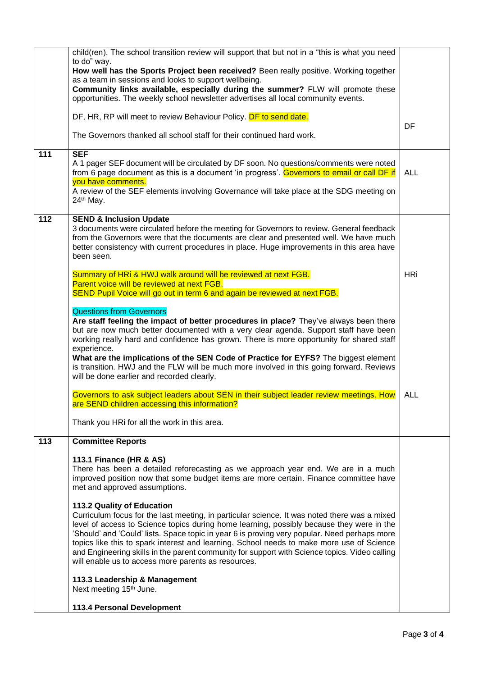|     | child(ren). The school transition review will support that but not in a "this is what you need<br>to do" way.<br>How well has the Sports Project been received? Been really positive. Working together<br>as a team in sessions and looks to support wellbeing.<br>Community links available, especially during the summer? FLW will promote these<br>opportunities. The weekly school newsletter advertises all local community events.                                                                                                                     |            |
|-----|--------------------------------------------------------------------------------------------------------------------------------------------------------------------------------------------------------------------------------------------------------------------------------------------------------------------------------------------------------------------------------------------------------------------------------------------------------------------------------------------------------------------------------------------------------------|------------|
|     | DF, HR, RP will meet to review Behaviour Policy. DF to send date.<br>The Governors thanked all school staff for their continued hard work.                                                                                                                                                                                                                                                                                                                                                                                                                   | DF         |
| 111 | <b>SEF</b><br>A 1 pager SEF document will be circulated by DF soon. No questions/comments were noted<br>from 6 page document as this is a document 'in progress'. Governors to email or call DF if<br>you have comments.<br>A review of the SEF elements involving Governance will take place at the SDG meeting on<br>24 <sup>th</sup> May.                                                                                                                                                                                                                 | <b>ALL</b> |
| 112 | <b>SEND &amp; Inclusion Update</b><br>3 documents were circulated before the meeting for Governors to review. General feedback<br>from the Governors were that the documents are clear and presented well. We have much<br>better consistency with current procedures in place. Huge improvements in this area have<br>been seen.                                                                                                                                                                                                                            |            |
|     | Summary of HRi & HWJ walk around will be reviewed at next FGB.<br>Parent voice will be reviewed at next FGB.<br>SEND Pupil Voice will go out in term 6 and again be reviewed at next FGB.                                                                                                                                                                                                                                                                                                                                                                    | <b>HRi</b> |
|     | <b>Questions from Governors</b><br>Are staff feeling the impact of better procedures in place? They've always been there<br>but are now much better documented with a very clear agenda. Support staff have been<br>working really hard and confidence has grown. There is more opportunity for shared staff<br>experience.<br>What are the implications of the SEN Code of Practice for EYFS? The biggest element<br>is transition. HWJ and the FLW will be much more involved in this going forward. Reviews<br>will be done earlier and recorded clearly. |            |
|     | Governors to ask subject leaders about SEN in their subject leader review meetings. How<br>are SEND children accessing this information?                                                                                                                                                                                                                                                                                                                                                                                                                     | ALL        |
|     | Thank you HRi for all the work in this area.                                                                                                                                                                                                                                                                                                                                                                                                                                                                                                                 |            |
| 113 | <b>Committee Reports</b><br>113.1 Finance (HR & AS)<br>There has been a detailed reforecasting as we approach year end. We are in a much<br>improved position now that some budget items are more certain. Finance committee have<br>met and approved assumptions.<br>113.2 Quality of Education<br>Curriculum focus for the last meeting, in particular science. It was noted there was a mixed                                                                                                                                                             |            |
|     | level of access to Science topics during home learning, possibly because they were in the<br>'Should' and 'Could' lists. Space topic in year 6 is proving very popular. Need perhaps more<br>topics like this to spark interest and learning. School needs to make more use of Science<br>and Engineering skills in the parent community for support with Science topics. Video calling<br>will enable us to access more parents as resources.<br>113.3 Leadership & Management                                                                              |            |
|     | Next meeting 15 <sup>th</sup> June.                                                                                                                                                                                                                                                                                                                                                                                                                                                                                                                          |            |
|     | 113.4 Personal Development                                                                                                                                                                                                                                                                                                                                                                                                                                                                                                                                   |            |